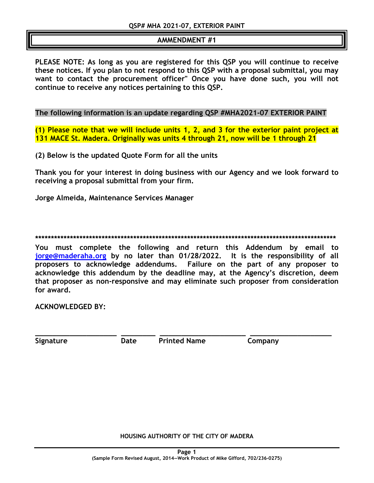## **AMMENDMENT #1**

**PLEASE NOTE: As long as you are registered for this QSP you will continue to receive these notices. If you plan to not respond to this QSP with a proposal submittal, you may want to contact the procurement officer" Once you have done such, you will not continue to receive any notices pertaining to this QSP.**

## **The following information is an update regarding QSP #MHA2021-07 EXTERIOR PAINT**

**(1) Please note that we will include units 1, 2, and 3 for the exterior paint project at 131 MACE St. Madera. Originally was units 4 through 21, now will be 1 through 21**

**(2) Below is the updated Quote Form for all the units**

**Thank you for your interest in doing business with our Agency and we look forward to receiving a proposal submittal from your firm.**

**Jorge Almeida, Maintenance Services Manager**

**\*\*\*\*\*\*\*\*\*\*\*\*\*\*\*\*\*\*\*\*\*\*\*\*\*\*\*\*\*\*\*\*\*\*\*\*\*\*\*\*\*\*\*\*\*\*\*\*\*\*\*\*\*\*\*\*\*\*\*\*\*\*\*\*\*\*\*\*\*\*\*\*\*\*\*\*\*\*\*\*\*\*\*\*\*\*\*\*\*\*\*\*\*\*\***

**You must complete the following and return this Addendum by email to [jorge@maderaha.org](mailto:jorge@maderaha.org) by no later than 01/28/2022. It is the responsibility of all proposers to acknowledge addendums. Failure on the part of any proposer to acknowledge this addendum by the deadline may, at the Agency's discretion, deem that proposer as non-responsive and may eliminate such proposer from consideration for award.** 

**ACKNOWLEDGED BY:**

**\_\_\_\_\_\_\_\_\_\_\_\_\_\_\_\_\_\_\_ \_\_\_\_\_\_\_\_ \_\_\_\_\_\_\_\_\_\_\_\_\_\_\_\_\_\_\_\_ \_\_\_\_\_\_\_\_\_\_\_\_\_\_\_\_\_\_\_ Signature Date Printed Name Company**

**HOUSING AUTHORITY OF THE CITY OF MADERA**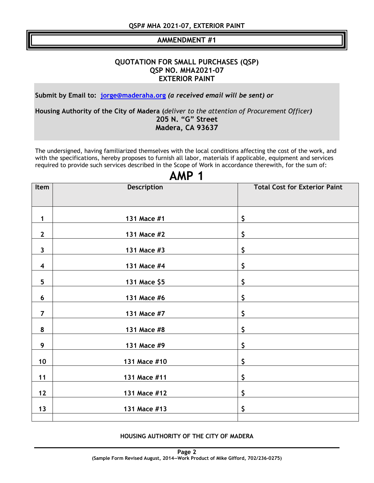# **AMMENDMENT #1**

#### **QUOTATION FOR SMALL PURCHASES (QSP) QSP NO. MHA2021-07 EXTERIOR PAINT**

**Submit by Email to: jorge@maderaha.org** *(a received email will be sent) or*

## **Housing Authority of the City of Madera (***deliver to the attention of Procurement Officer)* **205 N. "G" Street Madera, CA 93637**

The undersigned, having familiarized themselves with the local conditions affecting the cost of the work, and with the specifications, hereby proposes to furnish all labor, materials if applicable, equipment and services required to provide such services described in the Scope of Work in accordance therewith, for the sum of:

# **AMP 1**

| Item                    | Description  | <b>Total Cost for Exterior Paint</b> |
|-------------------------|--------------|--------------------------------------|
|                         |              |                                      |
| $\mathbf 1$             | 131 Mace #1  | \$                                   |
| $\overline{2}$          | 131 Mace #2  | \$                                   |
| $\overline{\mathbf{3}}$ | 131 Mace #3  | \$                                   |
| $\overline{\mathbf{4}}$ | 131 Mace #4  | \$                                   |
| 5                       | 131 Mace \$5 | \$                                   |
| $6\phantom{1}6$         | 131 Mace #6  | \$                                   |
| $\overline{7}$          | 131 Mace #7  | \$                                   |
| 8                       | 131 Mace #8  | \$                                   |
| 9                       | 131 Mace #9  | \$                                   |
| 10                      | 131 Mace #10 | \$                                   |
| 11                      | 131 Mace #11 | \$                                   |
| 12                      | 131 Mace #12 | \$                                   |
| 13                      |              |                                      |
|                         | 131 Mace #13 | \$                                   |

#### **HOUSING AUTHORITY OF THE CITY OF MADERA**